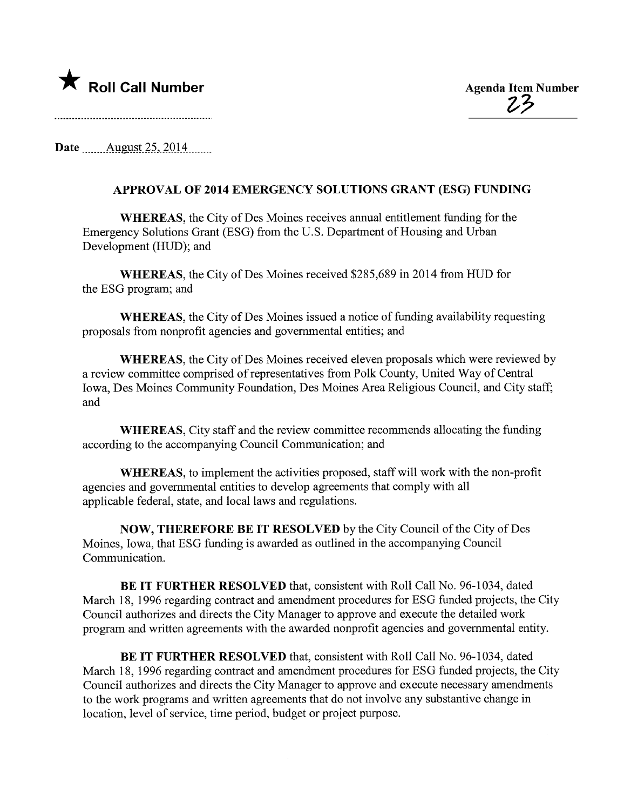

 $23$ 

Date August  $25, 2014$ 

## APPROVAL OF 2014 EMERGENCY SOLUTIONS GRANT (ESG) FUNDING

WHEREAS, the City of Des Moines receives annual entitlement funding for the Emergency Solutions Grant (ESG) from the U.S. Department of Bousing and Urban Development (HUD); and

WHEREAS, the City of Des Moines received \$285,689 in 2014 from HUD for the ESG program; and

WHEREAS, the City of Des Moines issued a notice of funding availability requesting proposals from nonprofit agencies and governental entities; and

WHEREAS, the City of Des Moines received eleven proposals which were reviewed by a review committee comprised of representatives from Polk County, United Way of Central Iowa, Des Moines Community Foundation, Des Moines Area Religious Council, and City staff; and

WHEREAS, City staff and the review committee recommends allocating the funding according to the accompanying Council Communication; and

WHEREAS, to implement the activities proposed, staff will work with the non-profit agencies and governental entities to develop agreements that comply with all applicable federal, state, and local laws and regulations.

NOW, THEREFORE BE IT RESOLVED by the City Council of the City of Des Moines, Iowa, that ESG funding is awarded as outlined in the accompanying Council Communication.

BE IT FURTHER RESOLVED that, consistent with Roll Call No. 96-1034, dated March 18, 1996 regarding contract and amendment procedures for ESG funded projects, the City Council authorizes and directs the City Manager to approve and execute the detailed work program and written agreements with the awarded nonprofit agencies and governmental entity.

BE IT FURTHER RESOLVED that, consistent with Roll Call No. 96-1034, dated March 18, 1996 regarding contract and amendment procedures for ESG funded projects, the City Council authorizes and directs the City Manager to approve and execute necessary amendments to the work programs and written agreements that do not involve any substantive change in location, level of service, time period, budget or project purpose.